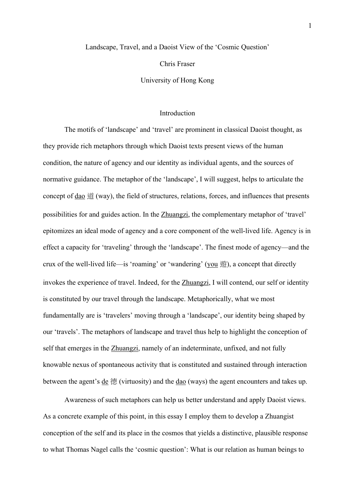#### Landscape, Travel, and a Daoist View of the 'Cosmic Question'

Chris Fraser

University of Hong Kong

### Introduction

The motifs of 'landscape' and 'travel' are prominent in classical Daoist thought, as they provide rich metaphors through which Daoist texts present views of the human condition, the nature of agency and our identity as individual agents, and the sources of normative guidance. The metaphor of the 'landscape', I will suggest, helps to articulate the concept of  $\underline{dao}$   $\ddot{\equiv}$  (way), the field of structures, relations, forces, and influences that presents possibilities for and guides action. In the Zhuangzi, the complementary metaphor of 'travel' epitomizes an ideal mode of agency and a core component of the well-lived life. Agency is in effect a capacity for 'traveling' through the 'landscape'. The finest mode of agency—and the crux of the well-lived life—is 'roaming' or 'wandering' (you 遊), a concept that directly invokes the experience of travel. Indeed, for the Zhuangzi, I will contend, our self or identity is constituted by our travel through the landscape. Metaphorically, what we most fundamentally are is 'travelers' moving through a 'landscape', our identity being shaped by our 'travels'. The metaphors of landscape and travel thus help to highlight the conception of self that emerges in the Zhuangzi, namely of an indeterminate, unfixed, and not fully knowable nexus of spontaneous activity that is constituted and sustained through interaction between the agent's <u>de</u> 德 (virtuosity) and the <u>dao</u> (ways) the agent encounters and takes up.

Awareness of such metaphors can help us better understand and apply Daoist views. As a concrete example of this point, in this essay I employ them to develop a Zhuangist conception of the self and its place in the cosmos that yields a distinctive, plausible response to what Thomas Nagel calls the 'cosmic question': What is our relation as human beings to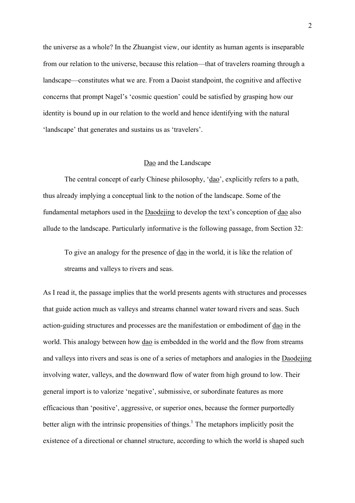the universe as a whole? In the Zhuangist view, our identity as human agents is inseparable from our relation to the universe, because this relation—that of travelers roaming through a landscape—constitutes what we are. From a Daoist standpoint, the cognitive and affective concerns that prompt Nagel's 'cosmic question' could be satisfied by grasping how our identity is bound up in our relation to the world and hence identifying with the natural 'landscape' that generates and sustains us as 'travelers'.

## Dao and the Landscape

The central concept of early Chinese philosophy, 'dao', explicitly refers to a path, thus already implying a conceptual link to the notion of the landscape. Some of the fundamental metaphors used in the Daodejing to develop the text's conception of dao also allude to the landscape. Particularly informative is the following passage, from Section 32:

To give an analogy for the presence of dao in the world, it is like the relation of streams and valleys to rivers and seas.

As I read it, the passage implies that the world presents agents with structures and processes that guide action much as valleys and streams channel water toward rivers and seas. Such action-guiding structures and processes are the manifestation or embodiment of dao in the world. This analogy between how dao is embedded in the world and the flow from streams and valleys into rivers and seas is one of a series of metaphors and analogies in the Daodejing involving water, valleys, and the downward flow of water from high ground to low. Their general import is to valorize 'negative', submissive, or subordinate features as more efficacious than 'positive', aggressive, or superior ones, because the former purportedly better align with the intrinsic propensities of things.<sup>1</sup> The metaphors implicitly posit the existence of a directional or channel structure, according to which the world is shaped such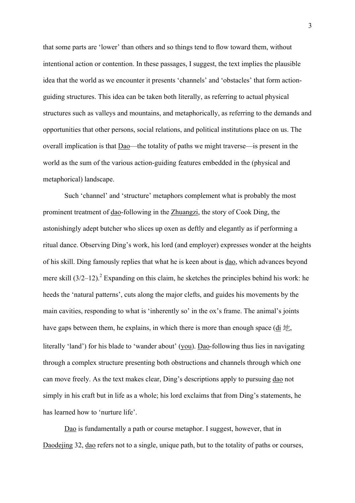that some parts are 'lower' than others and so things tend to flow toward them, without intentional action or contention. In these passages, I suggest, the text implies the plausible idea that the world as we encounter it presents 'channels' and 'obstacles' that form actionguiding structures. This idea can be taken both literally, as referring to actual physical structures such as valleys and mountains, and metaphorically, as referring to the demands and opportunities that other persons, social relations, and political institutions place on us. The overall implication is that  $Dao$ —the totality of paths we might traverse—is present in the</u> world as the sum of the various action-guiding features embedded in the (physical and metaphorical) landscape.

Such 'channel' and 'structure' metaphors complement what is probably the most prominent treatment of dao-following in the Zhuangzi, the story of Cook Ding, the astonishingly adept butcher who slices up oxen as deftly and elegantly as if performing a ritual dance. Observing Ding's work, his lord (and employer) expresses wonder at the heights of his skill. Ding famously replies that what he is keen about is dao, which advances beyond mere skill  $(3/2-12)$ .<sup>2</sup> Expanding on this claim, he sketches the principles behind his work: he heeds the 'natural patterns', cuts along the major clefts, and guides his movements by the main cavities, responding to what is 'inherently so' in the ox's frame. The animal's joints have gaps between them, he explains, in which there is more than enough space (di 地, literally 'land') for his blade to 'wander about' (you). <u>Dao</u>-following thus lies in navigating through a complex structure presenting both obstructions and channels through which one can move freely. As the text makes clear, Ding's descriptions apply to pursuing dao not simply in his craft but in life as a whole; his lord exclaims that from Ding's statements, he has learned how to 'nurture life'.

Dao is fundamentally a path or course metaphor. I suggest, however, that in Daodejing 32, dao refers not to a single, unique path, but to the totality of paths or courses,

3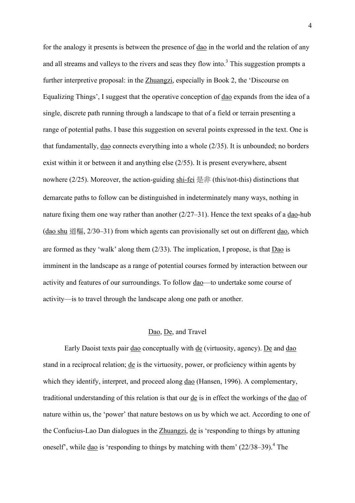for the analogy it presents is between the presence of dao in the world and the relation of any and all streams and valleys to the rivers and seas they flow into.<sup>3</sup> This suggestion prompts a further interpretive proposal: in the Zhuangzi, especially in Book 2, the 'Discourse on Equalizing Things', I suggest that the operative conception of dao expands from the idea of a single, discrete path running through a landscape to that of a field or terrain presenting a range of potential paths. I base this suggestion on several points expressed in the text. One is that fundamentally,  $\underline{dao}$  connects everything into a whole  $(2/35)$ . It is unbounded; no borders exist within it or between it and anything else (2/55). It is present everywhere, absent nowhere  $(2/25)$ . Moreover, the action-guiding shi-fei 是非 (this/not-this) distinctions that demarcate paths to follow can be distinguished in indeterminately many ways, nothing in nature fixing them one way rather than another  $(2/27-31)$ . Hence the text speaks of a dao-hub (dao shu 道樞, 2/30–31) from which agents can provisionally set out on different dao, which are formed as they 'walk' along them (2/33). The implication, I propose, is that Dao is imminent in the landscape as a range of potential courses formed by interaction between our activity and features of our surroundings. To follow dao—to undertake some course of activity—is to travel through the landscape along one path or another.

## Dao, De, and Travel

Early Daoist texts pair dao conceptually with de (virtuosity, agency). De and dao stand in a reciprocal relation; de is the virtuosity, power, or proficiency within agents by which they identify, interpret, and proceed along <u>dao</u> (Hansen, 1996). A complementary, traditional understanding of this relation is that our de is in effect the workings of the dao of nature within us, the 'power' that nature bestows on us by which we act. According to one of the Confucius-Lao Dan dialogues in the Zhuangzi, de is 'responding to things by attuning oneself', while  $\underline{dao}$  is 'responding to things by matching with them' (22/38–39).<sup>4</sup> The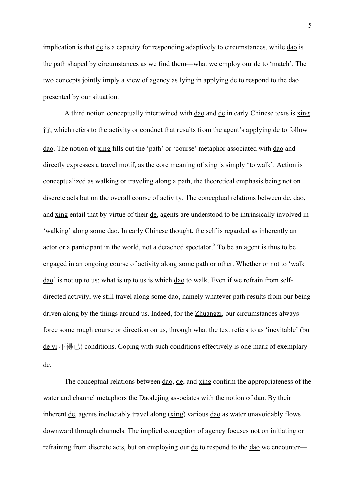implication is that <u>de</u> is a capacity for responding adaptively to circumstances, while <u>dao</u> is the path shaped by circumstances as we find them—what we employ our de to 'match'. The two concepts jointly imply a view of agency as lying in applying de to respond to the dao presented by our situation.

A third notion conceptually intertwined with dao and de in early Chinese texts is xing  $\hat{\tau}$ , which refers to the activity or conduct that results from the agent's applying de to follow dao. The notion of xing fills out the 'path' or 'course' metaphor associated with dao and directly expresses a travel motif, as the core meaning of xing is simply 'to walk'. Action is conceptualized as walking or traveling along a path, the theoretical emphasis being not on discrete acts but on the overall course of activity. The conceptual relations between de, dao, and xing entail that by virtue of their de, agents are understood to be intrinsically involved in 'walking' along some dao. In early Chinese thought, the self is regarded as inherently an actor or a participant in the world, not a detached spectator.<sup>5</sup> To be an agent is thus to be engaged in an ongoing course of activity along some path or other. Whether or not to 'walk dao' is not up to us; what is up to us is which dao to walk. Even if we refrain from selfdirected activity, we still travel along some dao, namely whatever path results from our being driven along by the things around us. Indeed, for the Zhuangzi, our circumstances always force some rough course or direction on us, through what the text refers to as 'inevitable' (bu <u>de yi</u> 不得已) conditions. Coping with such conditions effectively is one mark of exemplary de.

The conceptual relations between <u>dao</u>, de, and xing confirm the appropriateness of the water and channel metaphors the Daodejing associates with the notion of dao. By their inherent de, agents ineluctably travel along (xing) various dao as water unavoidably flows downward through channels. The implied conception of agency focuses not on initiating or refraining from discrete acts, but on employing our de to respond to the dao we encounter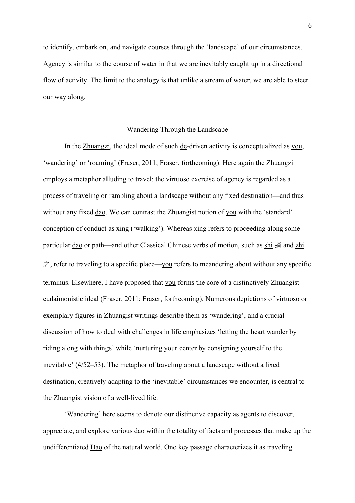to identify, embark on, and navigate courses through the 'landscape' of our circumstances. Agency is similar to the course of water in that we are inevitably caught up in a directional flow of activity. The limit to the analogy is that unlike a stream of water, we are able to steer our way along.

### Wandering Through the Landscape

In the Zhuangzi, the ideal mode of such de-driven activity is conceptualized as you, 'wandering' or 'roaming' (Fraser, 2011; Fraser, forthcoming). Here again the Zhuangzi employs a metaphor alluding to travel: the virtuoso exercise of agency is regarded as a process of traveling or rambling about a landscape without any fixed destination—and thus without any fixed dao. We can contrast the Zhuangist notion of you with the 'standard' conception of conduct as xing ('walking'). Whereas xing refers to proceeding along some particular dao or path—and other Classical Chinese verbs of motion, such as shi 滴 and zhi  $\gtrsim$ , refer to traveling to a specific place—you refers to meandering about without any specific terminus. Elsewhere, I have proposed that you forms the core of a distinctively Zhuangist eudaimonistic ideal (Fraser, 2011; Fraser, forthcoming). Numerous depictions of virtuoso or exemplary figures in Zhuangist writings describe them as 'wandering', and a crucial discussion of how to deal with challenges in life emphasizes 'letting the heart wander by riding along with things' while 'nurturing your center by consigning yourself to the inevitable' (4/52–53). The metaphor of traveling about a landscape without a fixed destination, creatively adapting to the 'inevitable' circumstances we encounter, is central to the Zhuangist vision of a well-lived life.

'Wandering' here seems to denote our distinctive capacity as agents to discover, appreciate, and explore various dao within the totality of facts and processes that make up the undifferentiated Dao of the natural world. One key passage characterizes it as traveling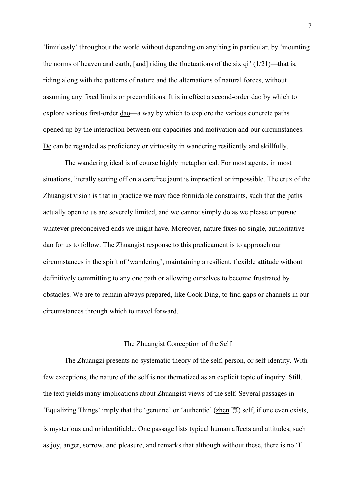'limitlessly' throughout the world without depending on anything in particular, by 'mounting the norms of heaven and earth, [and] riding the fluctuations of the six qi'  $(1/21)$ —that is, riding along with the patterns of nature and the alternations of natural forces, without assuming any fixed limits or preconditions. It is in effect a second-order dao by which to explore various first-order <u>dao</u>—a way by which to explore the various concrete paths opened up by the interaction between our capacities and motivation and our circumstances. De can be regarded as proficiency or virtuosity in wandering resiliently and skillfully.

The wandering ideal is of course highly metaphorical. For most agents, in most situations, literally setting off on a carefree jaunt is impractical or impossible. The crux of the Zhuangist vision is that in practice we may face formidable constraints, such that the paths actually open to us are severely limited, and we cannot simply do as we please or pursue whatever preconceived ends we might have. Moreover, nature fixes no single, authoritative dao for us to follow. The Zhuangist response to this predicament is to approach our circumstances in the spirit of 'wandering', maintaining a resilient, flexible attitude without definitively committing to any one path or allowing ourselves to become frustrated by obstacles. We are to remain always prepared, like Cook Ding, to find gaps or channels in our circumstances through which to travel forward.

# The Zhuangist Conception of the Self

The Zhuangzi presents no systematic theory of the self, person, or self-identity. With few exceptions, the nature of the self is not thematized as an explicit topic of inquiry. Still, the text yields many implications about Zhuangist views of the self. Several passages in 'Equalizing Things' imply that the 'genuine' or 'authentic' (zhen 真) self, if one even exists, is mysterious and unidentifiable. One passage lists typical human affects and attitudes, such as joy, anger, sorrow, and pleasure, and remarks that although without these, there is no 'I'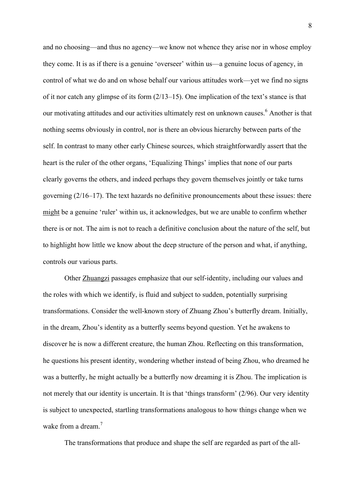and no choosing—and thus no agency—we know not whence they arise nor in whose employ they come. It is as if there is a genuine 'overseer' within us—a genuine locus of agency, in control of what we do and on whose behalf our various attitudes work—yet we find no signs of it nor catch any glimpse of its form (2/13–15). One implication of the text's stance is that our motivating attitudes and our activities ultimately rest on unknown causes.<sup>6</sup> Another is that nothing seems obviously in control, nor is there an obvious hierarchy between parts of the self. In contrast to many other early Chinese sources, which straightforwardly assert that the heart is the ruler of the other organs, 'Equalizing Things' implies that none of our parts clearly governs the others, and indeed perhaps they govern themselves jointly or take turns governing (2/16–17). The text hazards no definitive pronouncements about these issues: there might be a genuine 'ruler' within us, it acknowledges, but we are unable to confirm whether there is or not. The aim is not to reach a definitive conclusion about the nature of the self, but to highlight how little we know about the deep structure of the person and what, if anything, controls our various parts.

Other Zhuangzi passages emphasize that our self-identity, including our values and the roles with which we identify, is fluid and subject to sudden, potentially surprising transformations. Consider the well-known story of Zhuang Zhou's butterfly dream. Initially, in the dream, Zhou's identity as a butterfly seems beyond question. Yet he awakens to discover he is now a different creature, the human Zhou. Reflecting on this transformation, he questions his present identity, wondering whether instead of being Zhou, who dreamed he was a butterfly, he might actually be a butterfly now dreaming it is Zhou. The implication is not merely that our identity is uncertain. It is that 'things transform' (2/96). Our very identity is subject to unexpected, startling transformations analogous to how things change when we wake from a dream.<sup>7</sup>

The transformations that produce and shape the self are regarded as part of the all-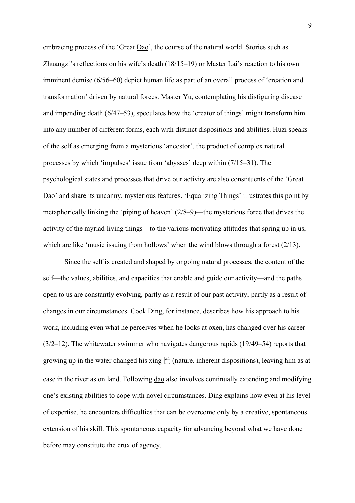embracing process of the 'Great <u>Dao</u>', the course of the natural world. Stories such as Zhuangzi's reflections on his wife's death (18/15–19) or Master Lai's reaction to his own imminent demise (6/56–60) depict human life as part of an overall process of 'creation and transformation' driven by natural forces. Master Yu, contemplating his disfiguring disease and impending death (6/47–53), speculates how the 'creator of things' might transform him into any number of different forms, each with distinct dispositions and abilities. Huzi speaks of the self as emerging from a mysterious 'ancestor', the product of complex natural processes by which 'impulses' issue from 'abysses' deep within (7/15–31). The psychological states and processes that drive our activity are also constituents of the 'Great Dao' and share its uncanny, mysterious features. 'Equalizing Things' illustrates this point by metaphorically linking the 'piping of heaven' (2/8–9)—the mysterious force that drives the activity of the myriad living things—to the various motivating attitudes that spring up in us, which are like 'music issuing from hollows' when the wind blows through a forest (2/13).

Since the self is created and shaped by ongoing natural processes, the content of the self—the values, abilities, and capacities that enable and guide our activity—and the paths open to us are constantly evolving, partly as a result of our past activity, partly as a result of changes in our circumstances. Cook Ding, for instance, describes how his approach to his work, including even what he perceives when he looks at oxen, has changed over his career (3/2–12). The whitewater swimmer who navigates dangerous rapids (19/49–54) reports that growing up in the water changed his  $xing \nleftrightarrow$  (nature, inherent dispositions), leaving him as at ease in the river as on land. Following dao also involves continually extending and modifying one's existing abilities to cope with novel circumstances. Ding explains how even at his level of expertise, he encounters difficulties that can be overcome only by a creative, spontaneous extension of his skill. This spontaneous capacity for advancing beyond what we have done before may constitute the crux of agency.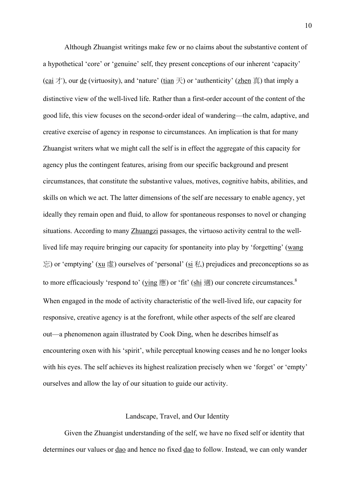Although Zhuangist writings make few or no claims about the substantive content of a hypothetical 'core' or 'genuine' self, they present conceptions of our inherent 'capacity' (cai  $\pm$ ), our <u>de</u> (virtuosity), and 'nature' (tian  $\pm$ ) or 'authenticity' (zhen  $\bar{\Xi}$ ) that imply a distinctive view of the well-lived life. Rather than a first-order account of the content of the good life, this view focuses on the second-order ideal of wandering—the calm, adaptive, and creative exercise of agency in response to circumstances. An implication is that for many Zhuangist writers what we might call the self is in effect the aggregate of this capacity for agency plus the contingent features, arising from our specific background and present circumstances, that constitute the substantive values, motives, cognitive habits, abilities, and skills on which we act. The latter dimensions of the self are necessary to enable agency, yet ideally they remain open and fluid, to allow for spontaneous responses to novel or changing situations. According to many Zhuangzi passages, the virtuoso activity central to the welllived life may require bringing our capacity for spontaneity into play by 'forgetting' (wang  $\Xi$ ) or 'emptying' ( $\underline{x}$ u  $\underline{\pi}$ ) ourselves of 'personal' ( $\underline{\sin}$   $\xi$ ) prejudices and preconceptions so as to more efficaciously 'respond to' ( $ying$  ) or 'fit' ( $\frac{shi}{=}$ ) our concrete circumstances.<sup>8</sup> When engaged in the mode of activity characteristic of the well-lived life, our capacity for responsive, creative agency is at the forefront, while other aspects of the self are cleared out—a phenomenon again illustrated by Cook Ding, when he describes himself as encountering oxen with his 'spirit', while perceptual knowing ceases and he no longer looks with his eyes. The self achieves its highest realization precisely when we 'forget' or 'empty' ourselves and allow the lay of our situation to guide our activity.

## Landscape, Travel, and Our Identity

Given the Zhuangist understanding of the self, we have no fixed self or identity that determines our values or dao and hence no fixed dao to follow. Instead, we can only wander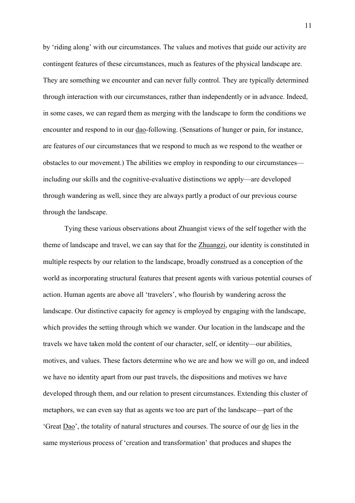by 'riding along' with our circumstances. The values and motives that guide our activity are contingent features of these circumstances, much as features of the physical landscape are. They are something we encounter and can never fully control. They are typically determined through interaction with our circumstances, rather than independently or in advance. Indeed, in some cases, we can regard them as merging with the landscape to form the conditions we encounter and respond to in our dao-following. (Sensations of hunger or pain, for instance, are features of our circumstances that we respond to much as we respond to the weather or obstacles to our movement.) The abilities we employ in responding to our circumstances including our skills and the cognitive-evaluative distinctions we apply—are developed through wandering as well, since they are always partly a product of our previous course through the landscape.

Tying these various observations about Zhuangist views of the self together with the theme of landscape and travel, we can say that for the Zhuangzi, our identity is constituted in multiple respects by our relation to the landscape, broadly construed as a conception of the world as incorporating structural features that present agents with various potential courses of action. Human agents are above all 'travelers', who flourish by wandering across the landscape. Our distinctive capacity for agency is employed by engaging with the landscape, which provides the setting through which we wander. Our location in the landscape and the travels we have taken mold the content of our character, self, or identity—our abilities, motives, and values. These factors determine who we are and how we will go on, and indeed we have no identity apart from our past travels, the dispositions and motives we have developed through them, and our relation to present circumstances. Extending this cluster of metaphors, we can even say that as agents we too are part of the landscape—part of the 'Great Dao', the totality of natural structures and courses. The source of our de lies in the same mysterious process of 'creation and transformation' that produces and shapes the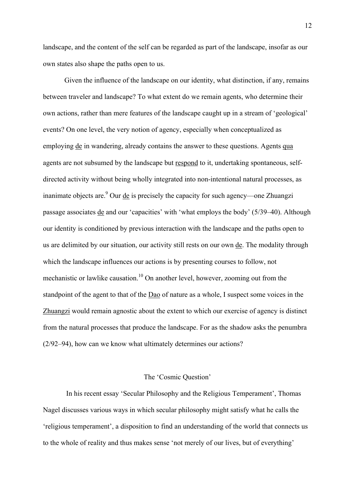landscape, and the content of the self can be regarded as part of the landscape, insofar as our own states also shape the paths open to us.

Given the influence of the landscape on our identity, what distinction, if any, remains between traveler and landscape? To what extent do we remain agents, who determine their own actions, rather than mere features of the landscape caught up in a stream of 'geological' events? On one level, the very notion of agency, especially when conceptualized as employing de in wandering, already contains the answer to these questions. Agents qua agents are not subsumed by the landscape but respond to it, undertaking spontaneous, selfdirected activity without being wholly integrated into non-intentional natural processes, as inanimate objects are.<sup>9</sup> Our <u>de</u> is precisely the capacity for such agency—one Zhuangzi passage associates de and our 'capacities' with 'what employs the body' (5/39–40). Although our identity is conditioned by previous interaction with the landscape and the paths open to us are delimited by our situation, our activity still rests on our own de. The modality through which the landscape influences our actions is by presenting courses to follow, not mechanistic or lawlike causation.<sup>10</sup> On another level, however, zooming out from the standpoint of the agent to that of the Dao of nature as a whole, I suspect some voices in the Zhuangzi would remain agnostic about the extent to which our exercise of agency is distinct from the natural processes that produce the landscape. For as the shadow asks the penumbra (2/92–94), how can we know what ultimately determines our actions?

## The 'Cosmic Question'

In his recent essay 'Secular Philosophy and the Religious Temperament', Thomas Nagel discusses various ways in which secular philosophy might satisfy what he calls the 'religious temperament', a disposition to find an understanding of the world that connects us to the whole of reality and thus makes sense 'not merely of our lives, but of everything'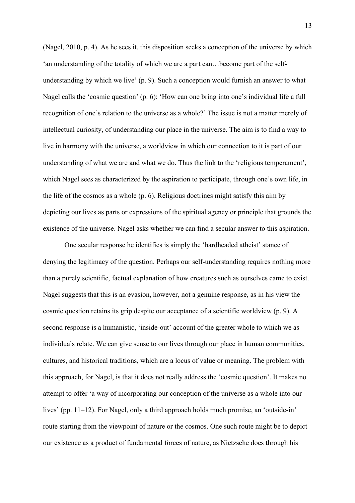(Nagel, 2010, p. 4). As he sees it, this disposition seeks a conception of the universe by which 'an understanding of the totality of which we are a part can…become part of the selfunderstanding by which we live' (p. 9). Such a conception would furnish an answer to what Nagel calls the 'cosmic question' (p. 6): 'How can one bring into one's individual life a full recognition of one's relation to the universe as a whole?' The issue is not a matter merely of intellectual curiosity, of understanding our place in the universe. The aim is to find a way to live in harmony with the universe, a worldview in which our connection to it is part of our understanding of what we are and what we do. Thus the link to the 'religious temperament', which Nagel sees as characterized by the aspiration to participate, through one's own life, in the life of the cosmos as a whole (p. 6). Religious doctrines might satisfy this aim by depicting our lives as parts or expressions of the spiritual agency or principle that grounds the existence of the universe. Nagel asks whether we can find a secular answer to this aspiration.

One secular response he identifies is simply the 'hardheaded atheist' stance of denying the legitimacy of the question. Perhaps our self-understanding requires nothing more than a purely scientific, factual explanation of how creatures such as ourselves came to exist. Nagel suggests that this is an evasion, however, not a genuine response, as in his view the cosmic question retains its grip despite our acceptance of a scientific worldview (p. 9). A second response is a humanistic, 'inside-out' account of the greater whole to which we as individuals relate. We can give sense to our lives through our place in human communities, cultures, and historical traditions, which are a locus of value or meaning. The problem with this approach, for Nagel, is that it does not really address the 'cosmic question'. It makes no attempt to offer 'a way of incorporating our conception of the universe as a whole into our lives' (pp. 11–12). For Nagel, only a third approach holds much promise, an 'outside-in' route starting from the viewpoint of nature or the cosmos. One such route might be to depict our existence as a product of fundamental forces of nature, as Nietzsche does through his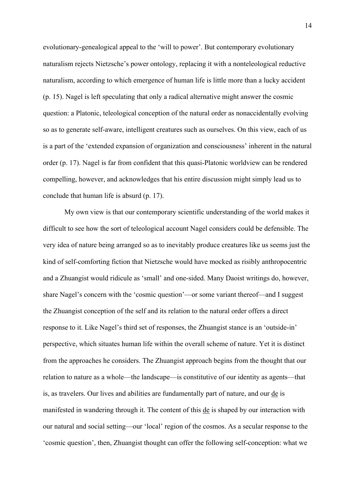evolutionary-genealogical appeal to the 'will to power'. But contemporary evolutionary naturalism rejects Nietzsche's power ontology, replacing it with a nonteleological reductive naturalism, according to which emergence of human life is little more than a lucky accident (p. 15). Nagel is left speculating that only a radical alternative might answer the cosmic question: a Platonic, teleological conception of the natural order as nonaccidentally evolving so as to generate self-aware, intelligent creatures such as ourselves. On this view, each of us is a part of the 'extended expansion of organization and consciousness' inherent in the natural order (p. 17). Nagel is far from confident that this quasi-Platonic worldview can be rendered compelling, however, and acknowledges that his entire discussion might simply lead us to conclude that human life is absurd (p. 17).

My own view is that our contemporary scientific understanding of the world makes it difficult to see how the sort of teleological account Nagel considers could be defensible. The very idea of nature being arranged so as to inevitably produce creatures like us seems just the kind of self-comforting fiction that Nietzsche would have mocked as risibly anthropocentric and a Zhuangist would ridicule as 'small' and one-sided. Many Daoist writings do, however, share Nagel's concern with the 'cosmic question'—or some variant thereof—and I suggest the Zhuangist conception of the self and its relation to the natural order offers a direct response to it. Like Nagel's third set of responses, the Zhuangist stance is an 'outside-in' perspective, which situates human life within the overall scheme of nature. Yet it is distinct from the approaches he considers. The Zhuangist approach begins from the thought that our relation to nature as a whole—the landscape—is constitutive of our identity as agents—that is, as travelers. Our lives and abilities are fundamentally part of nature, and our de is manifested in wandering through it. The content of this de is shaped by our interaction with our natural and social setting—our 'local' region of the cosmos. As a secular response to the 'cosmic question', then, Zhuangist thought can offer the following self-conception: what we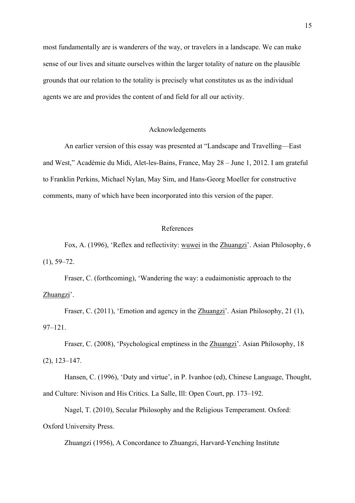most fundamentally are is wanderers of the way, or travelers in a landscape. We can make sense of our lives and situate ourselves within the larger totality of nature on the plausible grounds that our relation to the totality is precisely what constitutes us as the individual agents we are and provides the content of and field for all our activity.

# Acknowledgements

An earlier version of this essay was presented at "Landscape and Travelling—East and West," Académie du Midi, Alet-les-Bains, France, May 28 – June 1, 2012. I am grateful to Franklin Perkins, Michael Nylan, May Sim, and Hans-Georg Moeller for constructive comments, many of which have been incorporated into this version of the paper.

# References

Fox, A. (1996), 'Reflex and reflectivity: wuwei in the Zhuangzi'. Asian Philosophy, 6  $(1), 59-72.$ 

Fraser, C. (forthcoming), 'Wandering the way: a eudaimonistic approach to the Zhuangzi'.

Fraser, C. (2011), 'Emotion and agency in the Zhuangzi'. Asian Philosophy, 21 (1), 97–121.

Fraser, C. (2008), 'Psychological emptiness in the Zhuangzi'. Asian Philosophy, 18 (2), 123–147.

Hansen, C. (1996), 'Duty and virtue', in P. Ivanhoe (ed), Chinese Language, Thought, and Culture: Nivison and His Critics. La Salle, Ill: Open Court, pp. 173–192.

Nagel, T. (2010), Secular Philosophy and the Religious Temperament. Oxford: Oxford University Press.

Zhuangzi (1956), A Concordance to Zhuangzi, Harvard-Yenching Institute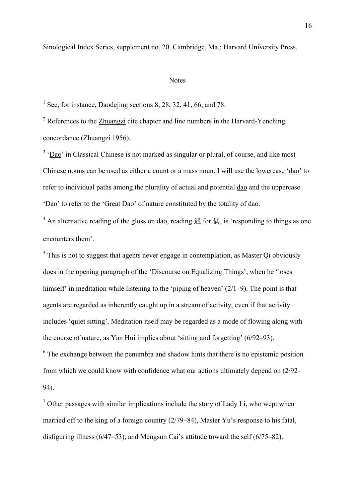Sinological Index Series, supplement no. 20. Cambridge, Ma.: Harvard University Press.

### **Notes**

<sup>1</sup> See, for instance, Daodejing sections 8, 28, 32, 41, 66, and 78.

 $2$  References to the Zhuangzi cite chapter and line numbers in the Harvard-Yenching concordance (Zhuangzi 1956).

<sup>3</sup> 'Dao' in Classical Chinese is not marked as singular or plural, of course, and like most Chinese nouns can be used as either a count or a mass noun. I will use the lowercase 'dao' to refer to individual paths among the plurality of actual and potential dao and the uppercase 'Dao' to refer to the 'Great Dao' of nature constituted by the totality of dao.

<sup>4</sup> An alternative reading of the gloss on dao, reading  $\ddot{\mathcal{F}}$  for  $\ddot{\mathcal{F}}$ , is 'responding to things as one encounters them'.

 $<sup>5</sup>$  This is not to suggest that agents never engage in contemplation, as Master Qi obviously</sup> does in the opening paragraph of the 'Discourse on Equalizing Things', when he 'loses himself' in meditation while listening to the 'piping of heaven' (2/1–9). The point is that agents are regarded as inherently caught up in a stream of activity, even if that activity includes 'quiet sitting'. Meditation itself may be regarded as a mode of flowing along with the course of nature, as Yan Hui implies about 'sitting and forgetting' (6/92–93). <sup>6</sup> The exchange between the penumbra and shadow hints that there is no epistemic position from which we could know with confidence what our actions ultimately depend on (2/92– 94).

 $<sup>7</sup>$  Other passages with similar implications include the story of Lady Li, who wept when</sup> married off to the king of a foreign country (2/79–84), Master Yu's response to his fatal, disfiguring illness (6/47–53), and Mengsun Cai's attitude toward the self (6/75–82).